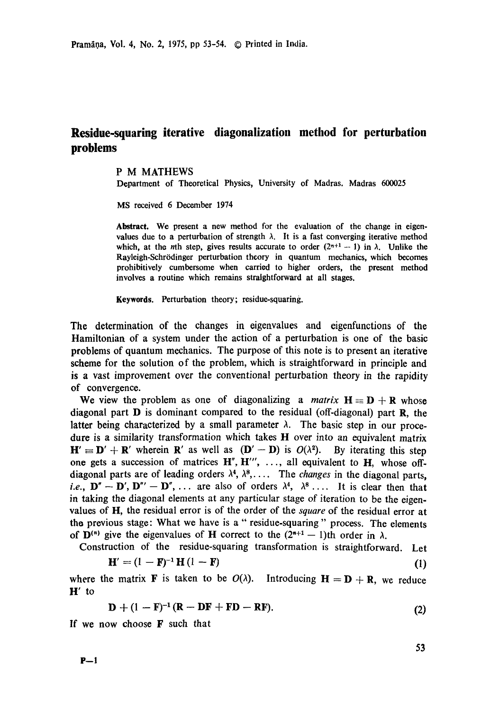## **Residue-squaring iterative diagonalization method for perturbation problems**

## P M MATHEWS

Department of Theoretical Physics, University of Madras. Madras 600025

MS received 6 December 1974

**Abstract.** We present a new method for the evaluation of the change in eigenvalues due to a perturbation of strength  $\lambda$ . It is a fast converging iterative method which, at the *n*th step, gives results accurate to order  $(2^{n+1} - 1)$  in  $\lambda$ . Unlike the Rayleigh-Schrödinger perturbation theory in quantum mechanics, which becomes prohibitively cumbersome when carried to higher orders, the present method involves a routine which remains straightforward at all stages.

**Keywords.** Perturbation theory; residue-squaring.

The determination of the changes in eigenvalues and eigenfunctions of the Hamiltonian of a system under the action of a perturbation is one of the basic problems of quantum mechanics. The purpose of this note is to present an iterative scheme for the solution of the problem, which is straightforward in principle and is a vast improvement over the conventional perturbation theory in the rapidity of convergence.

We view the problem as one of diagonalizing a *matrix*  $H \equiv D + R$  whose diagonal part  **is dominant compared to the residual (off-diagonal) part**  $**R**$ **, the** latter being characterized by a small parameter  $\lambda$ . The basic step in our procedure is a similarity transformation which takes H over into an equivalent matrix  $H' \equiv D' + R'$  wherein R' as well as  $(D' - D)$  is  $O(\lambda^2)$ . By iterating this step one gets a succession of matrices  $H''$ ,  $H'''$ , ..., all equivalent to  $H$ , whose offdiagonal parts are of leading orders  $\lambda^4$ ,  $\lambda^8$ ,.... The *changes* in the diagonal parts, *i.e.*,  $\mathbf{D}'' - \mathbf{D}'$ ,  $\mathbf{D}''' - \mathbf{D}''$ , ... are also of orders  $\lambda^4$ ,  $\lambda^8$  .... It is clear then that in taking the diagonal elements at any particular stage of iteration to be the eigenvalues of H, the residual error is of the order of the *square* of the residual error at the previous stage: What we have is a "residue-squaring" process. The elements of  $\mathbf{D}^{(n)}$  give the eigenvalues of H correct to the  $(2^{n+1} - 1)$ th order in  $\lambda$ .

Construction of the residue-squaring transformation is straightforward. Let

$$
\mathbf{H}' = (1 - \mathbf{F})^{-1} \mathbf{H} (1 - \mathbf{F}) \tag{1}
$$

where the matrix **F** is taken to be  $O(\lambda)$ . Introducing  $H = D + R$ , we reduce **H'to** 

$$
D + (1 - F)^{-1}(R - DF + FD - RF).
$$
 (2)

If we now choose F such that